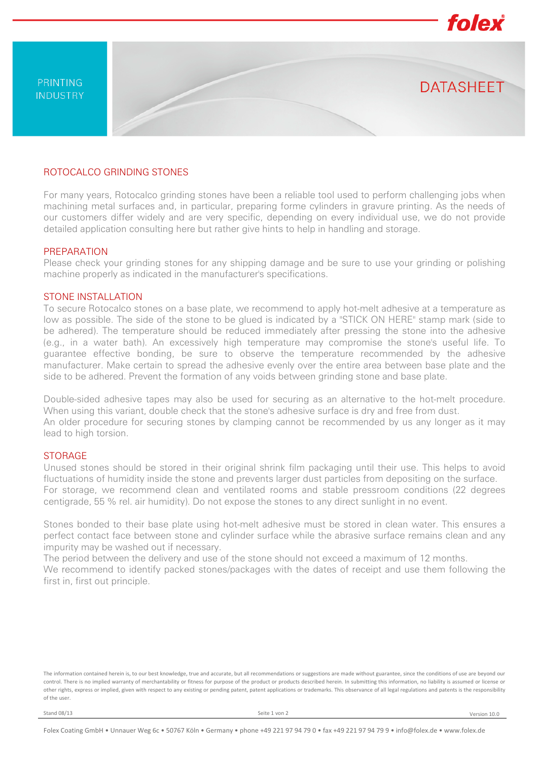

# ROTOCALCO GRINDING STONES

For many years, Rotocalco grinding stones have been a reliable tool used to perform challenging jobs when machining metal surfaces and, in particular, preparing forme cylinders in gravure printing. As the needs of our customers differ widely and are very specific, depending on every individual use, we do not provide detailed application consulting here but rather give hints to help in handling and storage.

### PREPARATION

Please check your grinding stones for any shipping damage and be sure to use your grinding or polishing machine properly as indicated in the manufacturer's specifications.

### STONE INSTALLATION

To secure Rotocalco stones on a base plate, we recommend to apply hot-melt adhesive at a temperature as low as possible. The side of the stone to be glued is indicated by a "STICK ON HERE" stamp mark (side to be adhered). The temperature should be reduced immediately after pressing the stone into the adhesive (e.g., in a water bath). An excessively high temperature may compromise the stone's useful life. To guarantee effective bonding, be sure to observe the temperature recommended by the adhesive manufacturer. Make certain to spread the adhesive evenly over the entire area between base plate and the side to be adhered. Prevent the formation of any voids between grinding stone and base plate.

Double-sided adhesive tapes may also be used for securing as an alternative to the hot-melt procedure. When using this variant, double check that the stone's adhesive surface is dry and free from dust. An older procedure for securing stones by clamping cannot be recommended by us any longer as it may lead to high torsion.

# STORAGE

Unused stones should be stored in their original shrink film packaging until their use. This helps to avoid fluctuations of humidity inside the stone and prevents larger dust particles from depositing on the surface. For storage, we recommend clean and ventilated rooms and stable pressroom conditions (22 degrees centigrade, 55 % rel. air humidity). Do not expose the stones to any direct sunlight in no event.

Stones bonded to their base plate using hot-melt adhesive must be stored in clean water. This ensures a perfect contact face between stone and cylinder surface while the abrasive surface remains clean and any impurity may be washed out if necessary.

The period between the delivery and use of the stone should not exceed a maximum of 12 months. We recommend to identify packed stones/packages with the dates of receipt and use them following the first in, first out principle.

The information contained herein is, to our best knowledge, true and accurate, but all recommendations or suggestions are made without guarantee, since the conditions of use are beyond our control. There is no implied warranty of merchantability or fitness for purpose of the product or products described herein. In submitting this information, no liability is assumed or license or other rights, express or implied, given with respect to any existing or pending patent, patent applications or trademarks. This observance of all legal regulations and patents is the responsibility of the user.